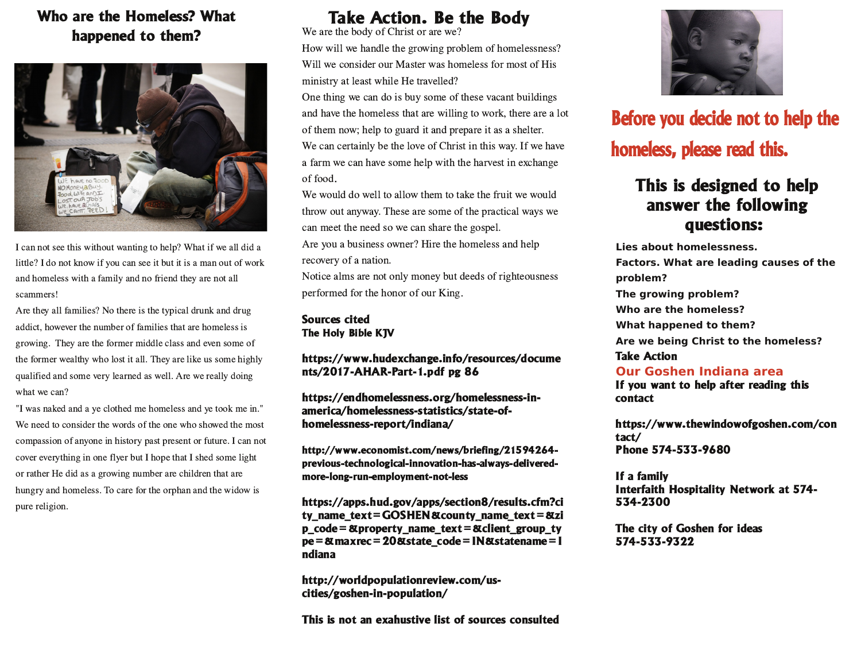### Who are the Homeless? What happened to them?



I can not see this without wanting to help? What if we all did a little? I do not know if you can see it but it is a man out of work and homeless with a family and no friend they are not all scammers!

Are they all families? No there is the typical drunk and drug addict, however the number of families that are homeless is growing. They are the former middle class and even some of the former wealthy who lost it all. They are like us some highly qualified and some very learned as well. Are we really doing what we can?

"I was naked and a ye clothed me homeless and ye took me in." We need to consider the words of the one who showed the most compassion of anyone in history past present or future. I can not cover everything in one flyer but I hope that I shed some light or rather He did as a growing number are children that are hungry and homeless. To care for the orphan and the widow is pure religion.

# **Take Action. Be the Body**

We are the body of Christ or are we? How will we handle the growing problem of homelessness? Will we consider our Master was homeless for most of His ministry at least while He travelled?

One thing we can do is buy some of these vacant buildings and have the homeless that are willing to work, there are a lot of them now; help to guard it and prepare it as a shelter. We can certainly be the love of Christ in this way. If we have a farm we can have some help with the harvest in exchange of food.

We would do well to allow them to take the fruit we would throw out anyway. These are some of the practical ways we can meet the need so we can share the gospel.

Are you a business owner? Hire the homeless and help recovery of a nation.

Notice alms are not only money but deeds of righteousness performed for the honor of our King.

#### **Sources cited** The Holy Bible KJV

#### https://www.hudexchange.info/resources/docume nts/2017-AHAR-Part-1.pdf pg 86

https://endhomelessness.org/homelessness-inamerica/homelessness-statistics/state-ofhomelessness-report/indiana/

http://www.economist.com/news/briefing/21594264previous-technological-innovation-has-always-deliveredmore-long-run-employment-not-less

https://apps.hud.gov/apps/section8/results.cfm?ci ty name  $text = GOSHEN@countv$  name  $text =@zi$ p\_code = &property\_name\_text = &client\_group\_ty pe = & maxrec = 20& state\_code = IN& statename = I ndiana

http://worldpopulationreview.com/uscities/goshen-in-population/

This is not an exahustive list of sources consulted



# Before you decide not to help the homeless, please read this.

## This is designed to help answer the following questions:

Lies about homelessness. Factors. What are leading causes of the problem? The growing problem? Who are the homeless? What happened to them? Are we being Christ to the homeless? **Take Action** Our Goshen Indiana area

If you want to help after reading this contact

https://www.thewindowofgoshen.com/con tact/ Phone 574-533-9680

If a family Interfaith Hospitality Network at 574-534-2300

The city of Goshen for ideas 574-533-9322